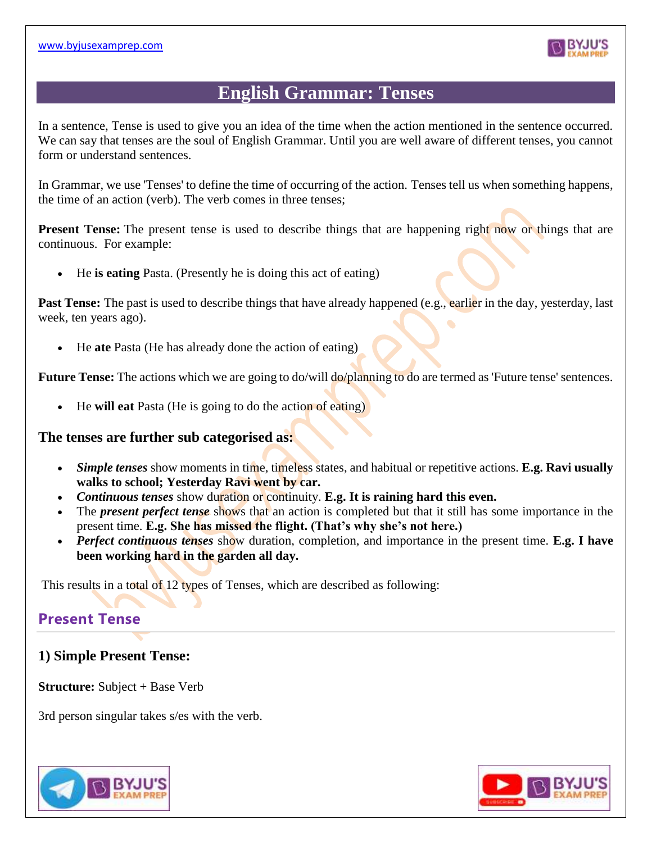

# **English Grammar: Tenses**

In a sentence, Tense is used to give you an idea of the time when the action mentioned in the sentence occurred. We can say that tenses are the soul of English Grammar. Until you are well aware of different tenses, you cannot form or understand sentences.

In Grammar, we use 'Tenses' to define the time of occurring of the action. Tenses tell us when something happens, the time of an action (verb). The verb comes in three tenses;

**Present Tense:** The present tense is used to describe things that are happening right now or things that are continuous. For example:

• He **is eating** Pasta. (Presently he is doing this act of eating)

**Past Tense:** The past is used to describe things that have already happened (e.g., earlier in the day, yesterday, last week, ten years ago).

• He **ate** Pasta (He has already done the action of eating)

**Future Tense:** The actions which we are going to do/will do/planning to do are termed as 'Future tense' sentences.

• He **will eat** Pasta (He is going to do the action of eating)

## **The tenses are further sub categorised as:**

- *Simple tenses* show moments in time, timeless states, and habitual or repetitive actions. **E.g. Ravi usually walks to school; Yesterday Ravi went by car.**
- *Continuous tenses* show duration or continuity. **E.g. It is raining hard this even.**
- The *present perfect tense* shows that an action is completed but that it still has some importance in the present time. **E.g. She has missed the flight. (That's why she's not here.)**
- *Perfect continuous tenses* show duration, completion, and importance in the present time. **E.g. I have been working hard in the garden all day.**

This results in a total of 12 types of Tenses, which are described as following:

# **Present Tense**

# **1) Simple Present Tense:**

**Structure:** Subject + Base Verb

3rd person singular takes s/es with the verb.



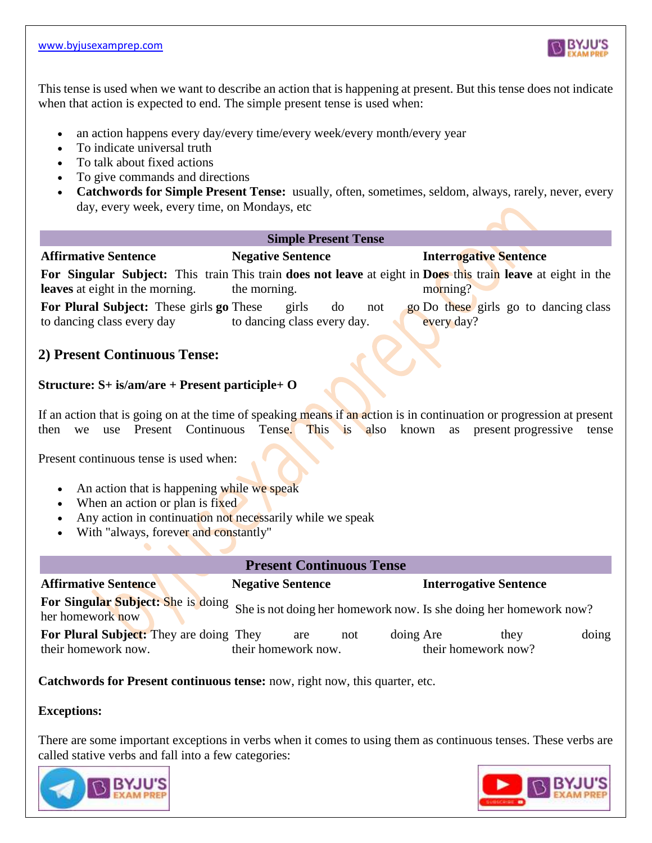

This tense is used when we want to describe an action that is happening at present. But this tense does not indicate when that action is expected to end. The simple present tense is used when:

- an action happens every day/every time/every week/every month/every year
- To indicate universal truth
- To talk about fixed actions
- To give commands and directions
- **Catchwords for Simple Present Tense:** usually, often, sometimes, seldom, always, rarely, never, every day, every week, every time, on Mondays, etc

#### **Simple Present Tense**

#### **Affirmative Sentence Negative Sentence Interrogative Sentence**

**For Singular Subject:** This train This train **does not leave** at eight in **Does** this train **leave** at eight in the **leaves** at eight in the morning. the morning. morning?

**For Plural Subject:** These girls **go** These girls do not **go** to dancing class every day to dancing class every day. go Do these girls go to dancing class every day?

## **2) Present Continuous Tense:**

### **Structure: S+ is/am/are + Present participle+ O**

If an action that is going on at the time of speaking means if an action is in continuation or progression at present then we use Present Continuous Tense. This is also known as present progressive tense

Present continuous tense is used when:

- An action that is happening while we speak
- When an action or plan is fixed
- Any action in continuation not necessarily while we speak
- With "always, forever and constantly"

### **Present Continuous Tense**

| <b>Affirmative Sentence</b>                                                                                              | <b>Negative Sentence</b>                       | <b>Interrogative Sentence</b>        |  |  |
|--------------------------------------------------------------------------------------------------------------------------|------------------------------------------------|--------------------------------------|--|--|
| For Singular Subject: She is doing She is not doing her homework now. Is she doing her homework now?<br>her homework now |                                                |                                      |  |  |
| <b>For Plural Subject:</b> They are doing They<br>their homework now.                                                    | doing Are<br>not<br>are<br>their homework now. | doing<br>they<br>their homework now? |  |  |

**Catchwords for Present continuous tense:** now, right now, this quarter, etc.

#### **Exceptions:**

There are some important exceptions in verbs when it comes to using them as continuous tenses. These verbs are called stative verbs and fall into a few categories:



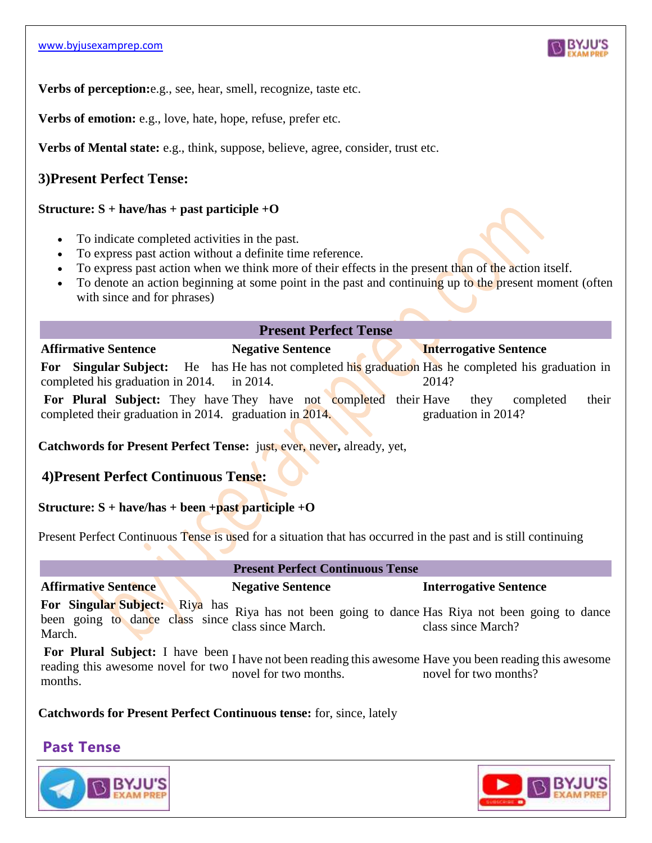

**Verbs of perception:**e.g., see, hear, smell, recognize, taste etc.

**Verbs of emotion:** e.g., love, hate, hope, refuse, prefer etc.

**Verbs of Mental state:** e.g., think, suppose, believe, agree, consider, trust etc.

# **3)Present Perfect Tense:**

### **Structure: S + have/has + past participle +O**

- To indicate completed activities in the past.
- To express past action without a definite time reference.
- To express past action when we think more of their effects in the present than of the action itself.
- To denote an action beginning at some point in the past and continuing up to the present moment (often with since and for phrases)

#### **Present Perfect Tense**

**Affirmative Sentence Negative Sentence Interrogative Sentence For** Singular Subject: He has He has not completed his graduation Has he completed his graduation in completed his graduation in 2014. in 2014. 2014?

For Plural Subject: They have They have not completed their completed their graduation in 2014. graduation in 2014. they completed their graduation in 2014?

**Catchwords for Present Perfect Tense:** just, ever, never**,** already, yet,

# **4)Present Perfect Continuous Tense:**

## **Structure: S + have/has + been +past participle +O**

Present Perfect Continuous Tense is used for a situation that has occurred in the past and is still continuing

#### **Present Perfect Continuous Tense**

## **Affirmative Sentence Negative Sentence Interrogative Sentence**

**For Singular Subject:** Riya has been going to dance class since March. Riya has not been going to dance Has Riya not been going to dance class since March. class since March?

**For Plural Subject:** I have been reading this awesome novel for two months. I have not been reading this awesome Have you been reading this awesome novel for two months. novel for two months?

**Catchwords for Present Perfect Continuous tense:** for, since, lately

# **Past Tense**



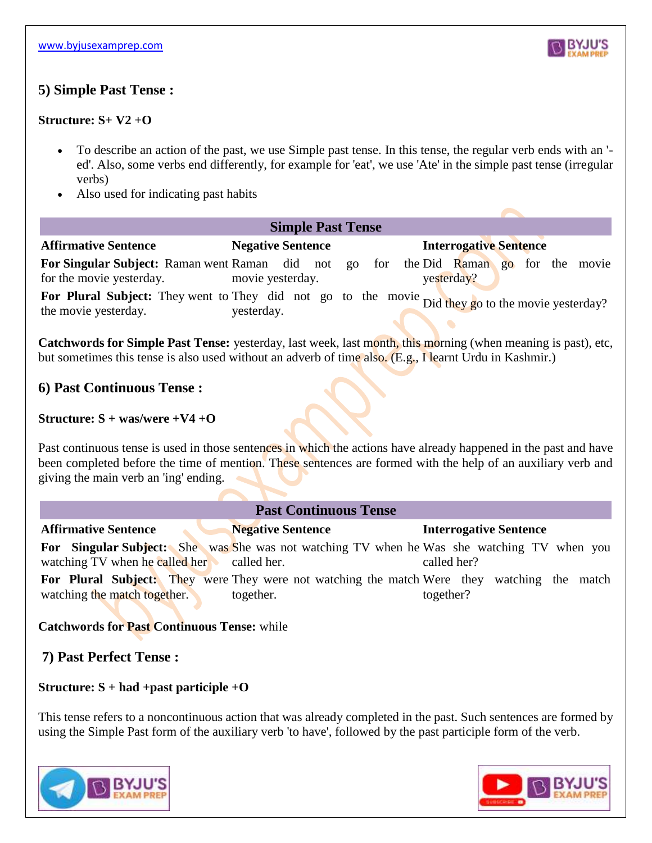

# **5) Simple Past Tense :**

## **Structure: S+ V2 +O**

- To describe an action of the past, we use Simple past tense. In this tense, the regular verb ends with an ' ed'. Also, some verbs end differently, for example for 'eat', we use 'Ate' in the simple past tense (irregular verbs)
- Also used for indicating past habits

| <b>Simple Past Tense</b>                                                                                                  |                          |  |  |  |                               |  |  |
|---------------------------------------------------------------------------------------------------------------------------|--------------------------|--|--|--|-------------------------------|--|--|
| <b>Affirmative Sentence</b>                                                                                               | <b>Negative Sentence</b> |  |  |  | <b>Interrogative Sentence</b> |  |  |
| <b>For Singular Subject:</b> Raman went Raman did not go for the Did Raman go for the movie                               |                          |  |  |  |                               |  |  |
| for the movie yesterday.                                                                                                  | movie yesterday.         |  |  |  | yesterday?                    |  |  |
| For Plural Subject: They went to They did not go to the movie Did they go to the movie yesterday?<br>the movie yesterday. | yesterday.               |  |  |  |                               |  |  |

**Catchwords for Simple Past Tense:** yesterday, last week, last month, this morning (when meaning is past), etc, but sometimes this tense is also used without an adverb of time also. (E.g., I learnt Urdu in Kashmir.)

# **6) Past Continuous Tense :**

#### **Structure: S + was/were +V4 +O**

Past continuous tense is used in those sentences in which the actions have already happened in the past and have been completed before the time of mention. These sentences are formed with the help of an auxiliary verb and giving the main verb an 'ing' ending.

| <b>Past Continuous Tense</b>                                            |                                                                                                                 |                               |  |  |  |
|-------------------------------------------------------------------------|-----------------------------------------------------------------------------------------------------------------|-------------------------------|--|--|--|
| <b>Affirmative Sentence</b>                                             | <b>Negative Sentence</b>                                                                                        | <b>Interrogative Sentence</b> |  |  |  |
| watching TV when he called her called her.                              | <b>For Singular Subject:</b> She was She was not watching TV when he Was she watching TV when you               | called her?                   |  |  |  |
| watching the match together.<br>$A + 1$ $A + B$ $B - 1$ $C - 1$ $D - 1$ | <b>For Plural Subject:</b> They were They were not watching the match Were they watching the match<br>together. | together?                     |  |  |  |

# **Catchwords for Past Continuous Tense:** while

# **7) Past Perfect Tense :**

## **Structure: S + had +past participle +O**

This tense refers to a noncontinuous action that was already completed in the past. Such sentences are formed by using the Simple Past form of the auxiliary verb 'to have', followed by the past participle form of the verb.



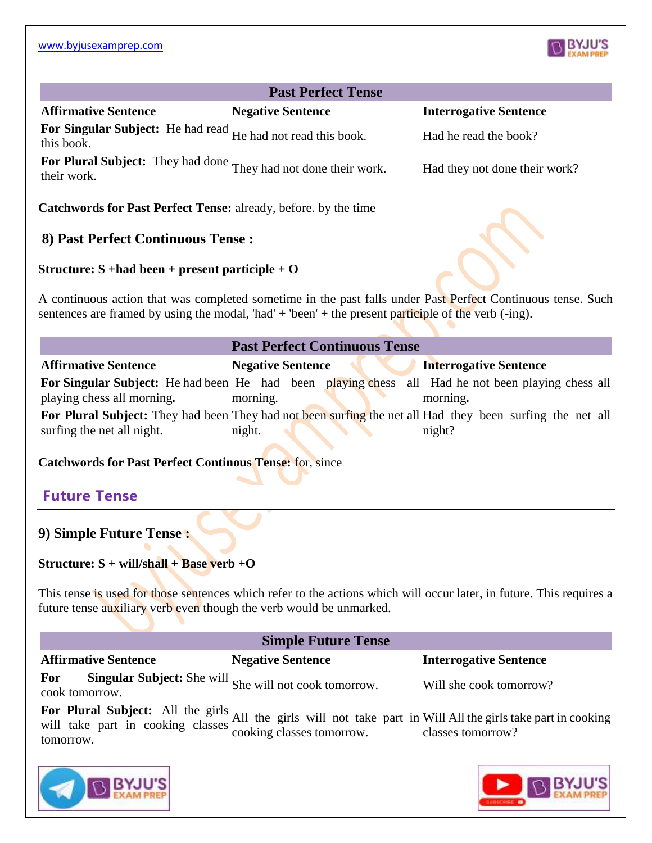# **Past Perfect Tense**

#### **Affirmative Sentence Negative Sentence Interrogative Sentence**

For Singular Subject: He had read He had not read this book. Had he read the book?<br>this book.

For Plural Subject: They had done <sub>They had not done their work. Had they not done their work?<br>their work.</sub>

**Catchwords for Past Perfect Tense:** already, before. by the time

# **8) Past Perfect Continuous Tense :**

#### **Structure: S +had been + present participle + O**

A continuous action that was completed sometime in the past falls under Past Perfect Continuous tense. Such sentences are framed by using the modal, 'had' + 'been' + the present participle of the verb (-ing).

| <b>Past Perfect Continuous Tense</b> |                          |  |                                                                                                           |  |
|--------------------------------------|--------------------------|--|-----------------------------------------------------------------------------------------------------------|--|
| <b>Affirmative Sentence</b>          | <b>Negative Sentence</b> |  | <b>Interrogative Sentence</b>                                                                             |  |
|                                      |                          |  | <b>For Singular Subject:</b> He had been He had been playing chess all Had he not been playing chess all  |  |
| playing chess all morning.           | morning.                 |  | morning.                                                                                                  |  |
|                                      |                          |  | For Plural Subject: They had been They had not been surfing the net all Had they been surfing the net all |  |
| surfing the net all night.           | night.                   |  | night?                                                                                                    |  |

**Catchwords for Past Perfect Continous Tense:** for, since

# **Future Tense**

## **9) Simple Future Tense :**

**Structure: S + will/shall + Base verb +O**

This tense is used for those sentences which refer to the actions which will occur later, in future. This requires a future tense auxiliary verb even though the verb would be unmarked.

#### **Simple Future Tense**

**Affirmative Sentence Negative Sentence Interrogative Sentence**

**For** Singular Subject: She will she will not cook tomorrow. Will she cook tomorrow?<br>cook tomorrow.

**For Plural Subject:** All the girls will take part in cooking classes tomorrow. All the girls will not take part in Will All the girls take part in cooking cooking classes tomorrow. classes tomorrow?







| I they not done their wo |  |  |
|--------------------------|--|--|
|                          |  |  |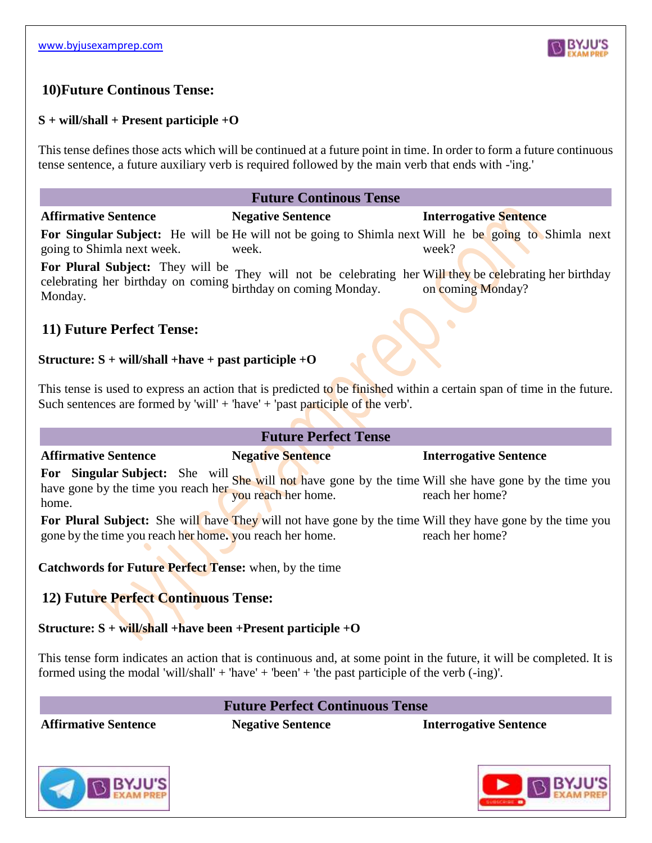

# **10)Future Continous Tense:**

### **S + will/shall + Present participle +O**

This tense defines those acts which will be continued at a future point in time. In order to form a future continuous tense sentence, a future auxiliary verb is required followed by the main verb that ends with -'ing.'

#### **Future Continous Tense**

#### **Affirmative Sentence Negative Sentence Interrogative Sentence**

**For Singular Subject:** He will be He will not be going to Shimla next Will he be going to Shimla next going to Shimla next week. week. week?

**For Plural Subject:** They will be celebrating her birthday on coming birthday on coming Monday. Monday. They will not be celebrating her Will they be celebrating her birthday on coming Monday?

## **11) Future Perfect Tense:**

### **Structure: S + will/shall +have + past participle +O**

This tense is used to express an action that is predicted to be finished within a certain span of time in the future. Such sentences are formed by 'will' + 'have' + 'past participle of the verb'.

# **Future Perfect Tense**

#### **Affirmative Sentence Negative Sentence Interrogative Sentence**

For Singular Subject: She will she will not have gone by the time Will she have gone by the time you have gone by the time you reach her site with not have g home. reach her home?

For Plural Subject: She will have They will not have gone by the time Will they have gone by the time you gone by the time you reach her home**.** you reach her home. reach her home?

**Catchwords for Future Perfect Tense:** when, by the time

# **12) Future Perfect Continuous Tense:**

## **Structure: S + will/shall +have been +Present participle +O**

This tense form indicates an action that is continuous and, at some point in the future, it will be completed. It is formed using the modal 'will/shall' + 'have' + 'been' + 'the past participle of the verb (-ing)'.

## **Future Perfect Continuous Tense**

**Affirmative Sentence Negative Sentence Interrogative Sentence**



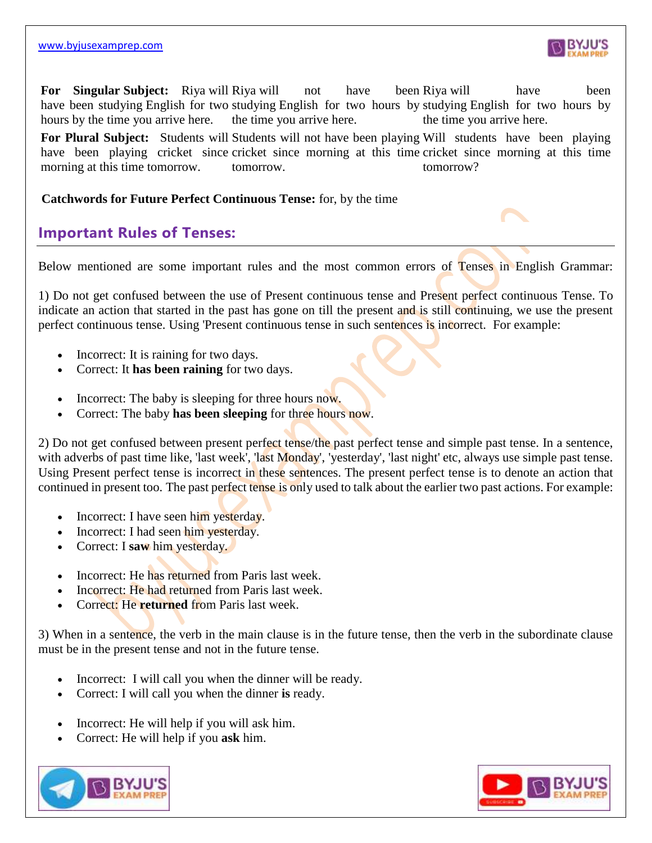

**For Singular Subject:** Riya will Riya will not have been have been studying English for two studying English for two hours by studying English for two hours by hours by the time you arrive here. the time you arrive here. been Riya will have been the time you arrive here.

For Plural Subject: Students will Students will not have been playing Will students have been playing have been playing cricket since cricket since morning at this time cricket since morning at this time morning at this time tomorrow. tomorrow. tomorrow?

**Catchwords for Future Perfect Continuous Tense:** for, by the time

# **Important Rules of Tenses:**

Below mentioned are some important rules and the most common errors of Tenses in English Grammar:

1) Do not get confused between the use of Present continuous tense and Present perfect continuous Tense. To indicate an action that started in the past has gone on till the present and is still continuing, we use the present perfect continuous tense. Using 'Present continuous tense in such sentences is incorrect. For example:

- Incorrect: It is raining for two days.
- Correct: It **has been raining** for two days.
- Incorrect: The baby is sleeping for three hours now.
- Correct: The baby **has been sleeping** for three hours now.

2) Do not get confused between present perfect tense/the past perfect tense and simple past tense. In a sentence, with adverbs of past time like, 'last week', 'last Monday', 'yesterday', 'last night' etc, always use simple past tense. Using Present perfect tense is incorrect in these sentences. The present perfect tense is to denote an action that continued in present too. The past perfect tense is only used to talk about the earlier two past actions. For example:

- Incorrect: I have seen him yesterday.
- Incorrect: I had seen him yesterday.
- Correct: I **saw** him yesterday.
- Incorrect: He has returned from Paris last week.
- Incorrect: He had returned from Paris last week.
- Correct: He **returned** from Paris last week.

3) When in a sentence, the verb in the main clause is in the future tense, then the verb in the subordinate clause must be in the present tense and not in the future tense.

- Incorrect: I will call you when the dinner will be ready.
- Correct: I will call you when the dinner **is** ready.
- Incorrect: He will help if you will ask him.
- Correct: He will help if you **ask** him.